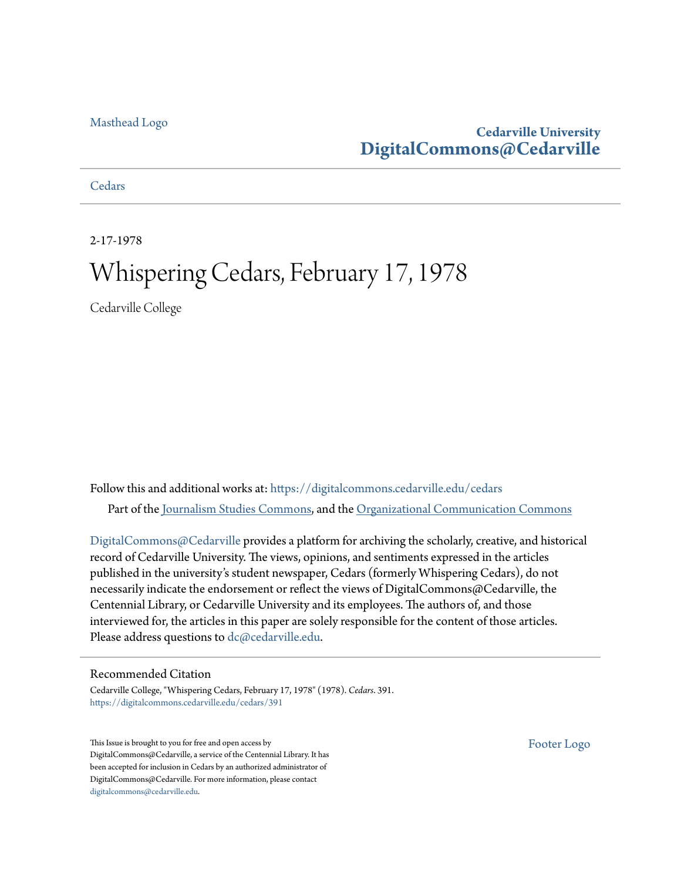#### [Masthead Logo](http://www.cedarville.edu/?utm_source=digitalcommons.cedarville.edu%2Fcedars%2F391&utm_medium=PDF&utm_campaign=PDFCoverPages)

### **Cedarville University [DigitalCommons@Cedarville](https://digitalcommons.cedarville.edu?utm_source=digitalcommons.cedarville.edu%2Fcedars%2F391&utm_medium=PDF&utm_campaign=PDFCoverPages)**

**[Cedars](https://digitalcommons.cedarville.edu/cedars?utm_source=digitalcommons.cedarville.edu%2Fcedars%2F391&utm_medium=PDF&utm_campaign=PDFCoverPages)** 

2-17-1978

### Whispering Cedars, February 17, 1978

Cedarville College

Follow this and additional works at: [https://digitalcommons.cedarville.edu/cedars](https://digitalcommons.cedarville.edu/cedars?utm_source=digitalcommons.cedarville.edu%2Fcedars%2F391&utm_medium=PDF&utm_campaign=PDFCoverPages) Part of the [Journalism Studies Commons](http://network.bepress.com/hgg/discipline/333?utm_source=digitalcommons.cedarville.edu%2Fcedars%2F391&utm_medium=PDF&utm_campaign=PDFCoverPages), and the [Organizational Communication Commons](http://network.bepress.com/hgg/discipline/335?utm_source=digitalcommons.cedarville.edu%2Fcedars%2F391&utm_medium=PDF&utm_campaign=PDFCoverPages)

[DigitalCommons@Cedarville](http://digitalcommons.cedarville.edu/) provides a platform for archiving the scholarly, creative, and historical record of Cedarville University. The views, opinions, and sentiments expressed in the articles published in the university's student newspaper, Cedars (formerly Whispering Cedars), do not necessarily indicate the endorsement or reflect the views of DigitalCommons@Cedarville, the Centennial Library, or Cedarville University and its employees. The authors of, and those interviewed for, the articles in this paper are solely responsible for the content of those articles. Please address questions to [dc@cedarville.edu.](mailto:dc@cedarville.edu)

#### Recommended Citation

Cedarville College, "Whispering Cedars, February 17, 1978" (1978). *Cedars*. 391. [https://digitalcommons.cedarville.edu/cedars/391](https://digitalcommons.cedarville.edu/cedars/391?utm_source=digitalcommons.cedarville.edu%2Fcedars%2F391&utm_medium=PDF&utm_campaign=PDFCoverPages)

This Issue is brought to you for free and open access by DigitalCommons@Cedarville, a service of the Centennial Library. It has been accepted for inclusion in Cedars by an authorized administrator of DigitalCommons@Cedarville. For more information, please contact [digitalcommons@cedarville.edu](mailto:digitalcommons@cedarville.edu).

[Footer Logo](http://www.cedarville.edu/Academics/Library.aspx?utm_source=digitalcommons.cedarville.edu%2Fcedars%2F391&utm_medium=PDF&utm_campaign=PDFCoverPages)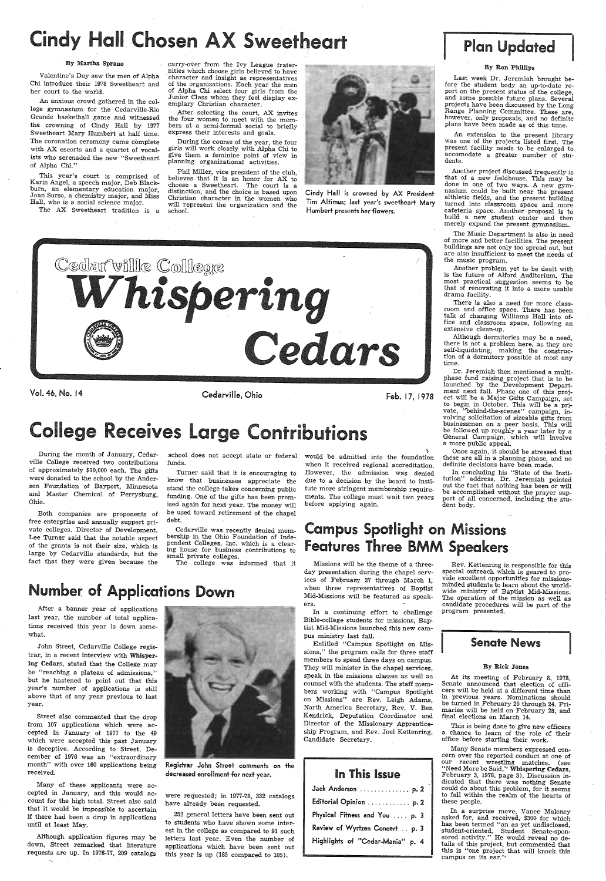# $\left\{\begin{array}{c|c} \textbf{indy} \textbf{ Hall} \textbf{ Chosen A} \textbf{X} \textbf{Sweethear} \textbf{1} & \textbf{Plan updated} \ \textbf{By Martin Sprano} & \textbf{Sary-over from the Ivy League frater} \end{array}\right\}$

Valentine's Day saw the men of Alpha Chi introduce their 1978 Sweetheart and her court to the world.

An anxious crowd gathered in the college gymnasium for the Cedarville-Rio Grande basketball game and witnessed the crowning of Cindy Hall by <sup>1977</sup> Sweetheart Mary Humbert 'at half time. The coronation ceremony came complete with AX escorts and a quartet of vocalists who serenaded the new "Sweetheart of Alpha Chi."

This year's court is comprised of Karin Angel, a speech major, Deb Black-<br>burn, an elementary education major, Joan Surso, a chemistry major, and Miss<br>Hall, who is a social science major.

carry-over from the Ivy League frater-<br>nities which choose girls believed to have<br>character and insight as representatives<br>of the organizations. Each year the men<br>of Alpha Chi select four girls from the<br>Junior Class whom t emplary Christian character.

During the course of the year, the four <sup>g</sup>irls will work closely with Alpha Chi to <sup>g</sup>ive them a feminine point of view in planning organizational activities.

The AX Sweetheart tradition is a

Last week Dr. Jeremiah brought be-<br>fore the student body an up-to-date re-<br>port on the present status of the college, and some possible future plans. Several projects have been discussed by the Long Range Planning Committee. These are, however, only proposals, and no definite plans have been made as of this time.

After selecting the court, AX invites the four women to meet with the members at a semi-formal social to briefly express their interests and goals.

> Another project discussed frequently is<br>that of a new fieldhouse. This may be<br>done in one of two ways. A new gym-<br>nasium could be built near the present<br>althletic fields, and the present building<br>turned into classroom spac build a new student center and then merely expand the present gymnasium.

Phil Miller, vice president of the club, · believes that it is an honor for AX to choose a Sweetheart. The court is a distinction, arid the choice is based upon Christian character in the women who will represent the organization and the school.



Another problem yet to be dealt with is the future of Alford Auditorium. The most practical suggestion seems to be that of renovating it into a more usable drama facility.



Vol. 46, No. 14 Cedarville, Ohio

Cindy Hall is crowned by AX President Tim Altimus; last year's sweetheart Mary Humbert presents her flowers.

Feb. 17, 1978

## **College Receives Large Contributions**

#### By Ron Phillips

An extension to the present library was one of the projects listed first. The present facility needs to be enlarged to accomodate a greater number of stu dents.

school does not accept state or federal would be admitted into the foundation funds.

The Music Department is also in need of more and better facilities. The present buildings are not only too spread out, but are also insufficient to meet the needs of the music program.

There is also a need for more classroom and office space. There has been talk of changing Williams Hall into office and classroom space, following an extensive clean-up.

Although dormitories is not a problem here, as they are self-liquidating, making the construction of a dormitory possible at most any time.

Once again, it should be stressed that these are all in a planning phase, and no definite decisions have been made.

Dr. Jeremiah then mentioned a multiphase fund raising project that is to be launched by the Development Depart-<br>ment next fall. Phase one of this project will be a Major Gifts Campaign, set to begin in October. This will be a private, "behind-the-scenes" campaign, involving solicitation of sizeable gifts from<br>businessmen on a peer basis. This will<br>be followed up roughly a year later by a<br>General Campaign, which will involve <sup>a</sup>more public appeal.

During the month of January, Cedarville College received two contributions of approximately \$10,000 each. The gifts were donated to the school by the Andersen Foundation of Bayport, Minnesota and Master Chemical of Perrysburg, Ohio.

> Rev. Kettenring is responsible for this<br>special outreach which is geared to provide excellent opportunities for missionsminded students to learn about the worldwide ministry of Baptist Mid-Missions. The operation of the mission as well as candidate procedures will be part of the program presented.

#### **Senate News**

At its meeting of February 8, 1978, Senate announced that election of officers will be held at a different time than in previous years. Nominations should be turned in February 20 through 24. Pri-<br>maries will be held on February 28, and final elections on March 14.

Both companies are proponents of free enterprise and annually support private colleges. Director of Development, Lee Turner said that the notable aspect of the grants is not their size, which is large by Cedarville standards, but the fact that they were given because the

Turner said that it is encouraging to know that businesses appreciate the stand the college takes concerning public funding. One of the gifts has been promised again for next year. The money will be used toward retirement of the chapel debt.

> In a surprise move, Vance Maloney asked for, and received, \$300 for which has been termed "an as yet undisclosed, student-oriented, Student Senate-spon-sored activity." He would reveal no details of this project, but commented that this is "one project that will knock this campus on its ear."

Cedarville was recently denied mem- bership in the Ohio Foundation of Independent Colleges, Inc. which is a clearing house for business contributions to small private colleges. The college was informed that it

### Number of Applications Down

After a banner year of applications last year, the number of total applications received this year is down somewhat.

John Street, Cedarville College registrar, in a recent interview with Whispering Cedars, stated that the College may be "reaching a plateau of admissions," but he hastened to point out that this year's number of applications is still above that of any year previous to last year.



Street also commented that the drop from 107 applications which were accepted in January of 1977 to the 49 which were accepted this past January is deceptive. According to Street, December of 1976 was an "extraordinary month" with over 160 applications being received.

Many of these applicants were accepted in January, and this would account for the high total. Street also said that it would be impossible to ascertain if there had been a drop in applications until at least May.

Although application figures may be down, Street remarked that literature requests are up. In 1976-77, 209 catalogs

Registrar John Street comments on the decreased enrollment for next year.

were requested; in 1977-78, 332 catalogs have already been requested.

252 general letters have been sent out to students who have shown some interest in the college as compared to 91 such letters last year. Even the number of applications which have been sent out this year is up (185 compared to 105).

when it received regional accreditation. However, the admission was denied due to a decision by the board to institute more stringent membership requirements. The college must wait two years before applying again.

In concluding his "State of the Institution" address, Dr. Jeremiah pointed<br>out the fact that nothing has been or will be accomplished without the prayer support of all concerned, including the stu- dent body.

### Campus Spotlight on Missions Features Three BMM Speakers

Missions will be the theme of a threeday presentation during the chapel services of February 27 through March 1, when three representatives of Baptist Mid-Missions will be featured as speakers.

In a continuing effort to challenge Bible-college students for missions, Baptist Mid-Missions launched this new campus ministry last fall.

Entitled "Campus Spotlight on Mis-

sions," the program calls for three staff members to spend three days on campus. They will minister in the chapel services, speak in the missions classes as well as counsel with the students. The staff members working with "Campus Spotlight on Missions" are Rev. Leigh Adams, North America Secretary, Rev. V. Ben Kendrick, Deputation Coordinator and Director of the Missionary Apprenticeship Program, and Rev. Joel Kettenring, Candidate Secretary.

#### In This Issue

| Jack Anderson  p. 2              |
|----------------------------------|
| Editorial Opinion  p. 2          |
| Physical Fitness and You  p. 3   |
| Review of Wyrtzen Concert  p. 3  |
| Highlights of "Cedar-Mania" p. 4 |

#### By Rick Jones

This is being done to give new officers a chance to learn of the role of their office before starting their work.

Many Senate members expressed concern over the reported conduct at one of our recent wrestling matches. (see "Need More be Said," Whispering Cedars,<br>February 3, 1978, page 3). Discussion indicated that there was nothing Senate could do about this problem, for it seems to fall within the realm of the hearts of these people.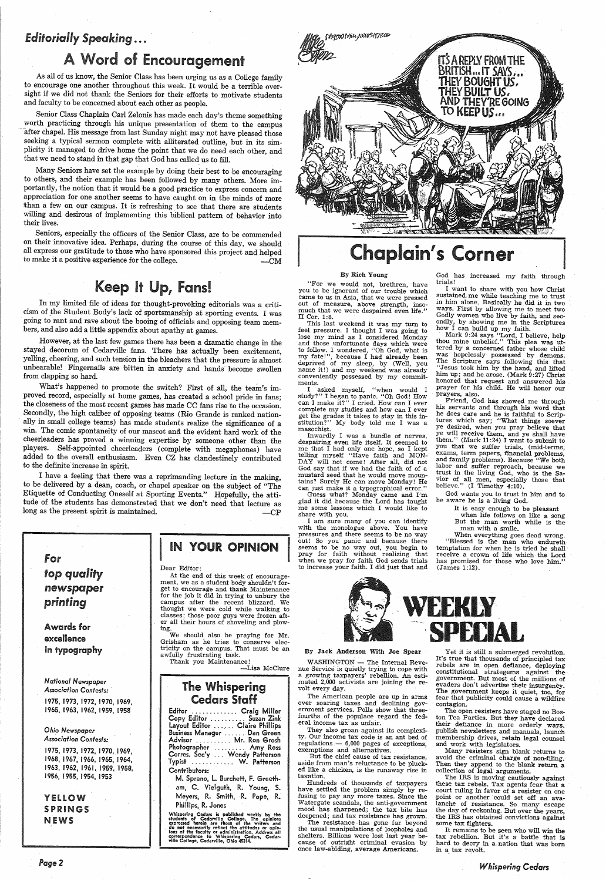### *Editorially Speaking ...* · <sup>A</sup>Word of Encouragement

As all of us know, the Senior Class has been urging us as a College family to encourage one another throughout this week. It would be a terrible oversight if we did not thank the Seniors for their efforts to motivate students and faculty to be concerned about each other as people.

Senior Class Chaplain Carl Zelonis has made each day's theme something worth practicing through his unique presentation of them to the campus after chapel. His message from last Sunday night may not have pleased those seeking a typical sermon complete with alliterated outline, but in its sim<sup>p</sup>licity it managed to drive home the point that we do need each other, and that we need to stand in that gap that God has called us to fill.

Seniors, especially the officers of the Senior Class, are to be commended on their innovative idea. Perhaps, during the course of this day, we should all express our gratitude to those who have sponsored this project and helped to make it a positive experience for the college.  $\qquad \qquad -CM$ 

Many Seniors have set the example by doing their best to be encouraging to others, and their example has been followed by many others. More importantly, the notion that it would be a good practice to express concern and appreciation for one another seems to have caught on in the minds of more than a few on our campus. It is refreshing to see that there are students willing and desirous of implementing this biblical pattern of behavior into their lives.

However, at the last few games there has been a dramatic change in the stayed decorum of Cedarville fans. There has actually been excitement, yelling, cheering, and such tension in the bleachers that the pressure is almost unbearable! Fingernails are bitten in anxiety and hands become swollen from clapping so hard.

### Keep It Up, Fans!

In my limited file of ideas for thought-provoking editorials was a criticism of the Student Body's lack of sportsmanship at sporting events. I was going to rant and rave about the booing of officials and opposing team members, and also add a little appendix about apathy at games.

YELLOW SPRINGS **NEWS** 

What's happened to promote the switch? First of all, the team's improved record, especially at home games, has created a school pride in fans; the closeness of the most recent games has made CC fans rise to the occasion. Secondly, the high caliber of opposing teams (Rio Grande is ranked nationally in small college teams) has made students realize the significance of a win. The comic spontaneity of our mascot and the evident hard work of the cheerleaders has proved a winning expertise by someone other than the <sup>p</sup>layers. Self-appointed cheerleaders (complete with megaphones) have added to the overall enthusiasm. Even CZ has clandestinely contributed to the definite increase in spirit.

Inwardly I was a bundle of nerves, despairing even life itself. It seemed to me that I had only one hope, so I kept telling myself "Have faith and MON-DAY will not come! After all, did not God say that if we had the faith of of a mustard seed that he would move mountains? Surely He can move Monday! He can just make it a typographical error.'

I have a feeling that there was a reprimanding lecture in the making, to be delivered by a dean, coach, or chapel speaker on the subject of "The Etiquette of Conducting Oneself at Sporting Events." Hopefully, the attitude of the students has demonstrated that we don't need that lecture as long as the present spirit is maintained. -CP

### for *top quality*  newspaper *printing*

Awards for excellence

#### in typography

*National Newspaper Association Contests:* · 1975, 1973, 1972, 1970, 1969, 1965, 1963, 1962, 1959, 1958

**IN YOUR OPINION IN**  $\begin{bmatrix} \text{pressures and there seems to be no way out! So you paint and because there seems to be no way out, you begin to$ share with you.<br>I am sure many of you can identify with the monologue above. You have out! So you panic and because there seems to be no way out, you begin to pray for faith without realizing that when we pray for faith God sends trials to increase your faith. I did just that and

#### *Ohio Newspaper Association Contests:*

WASHINGTON - The Internal Revenue Service is quietly trying to cope with a growing taxpayers' rebellion. An estimated 2,000 activists are joining the re volt every day.

1975, 1973, 1972, 1970, 1969, 1968, 1967, 1966, 1965, 1964, 1963, 1962, 1961, 1959, 1958, 1956, 1955, 1954, 1953

They also groan against its complexity. Our income tax code is an ant bed of regulations  $- 6,000$  pages of exceptions, exemptions and alternatives.

*Pagel* 

Dear Editor:

But the chief cause of tax resistance, aside from man's reluctance to be plucked like a chicken, is the runaway rise in taxation.

Hundreds of thousands of taxpayers have settled the problem simply by re- fusing to pay any more taxes. Since the Watergate scandals, the anti-government mood has sharpened; the tax bite has deepened; and tax resistance has grown.

At the end of this week of encouragement, we as a student body shouldn't forget to encourage and thank Maintenance for the job it did in trying to unbury the campus after the recent blizzard. We thought we were cold while walking to classes; those poor guys were frozen after all their hours of shoveling and plow-

> The resistance -has gone far beyond<br>the usual manipulations of loopholes and<br>shelters. Billions were lost last year because of outright criminal evasion by once law-abiding, average Americans.

<sup>I</sup>want to share with you how Christ sustained, me while teaching me to trust in him alone. Basically he did it in two ways. First by allowing me to meet two ondly, by showing me in the Scriptures<br>how I can build up my faith.<br>Mark 9:24 says "Lord, I believe, help

mark 9:22 says "Lord," This plea was ut-<br>tered by a concerned father whose child<br>was hopelessly possessed by demons. The Scripture says following this that ''Jesus took him by the hand, and lifted him up; and he arose. (Mark 9:27) Christ honored that request and answered his prayer for his child. He will honor our prayers, also.

ing. We· should also be praying for Mr. Grisham as he tries to conserve electricity on the campus. That must be an awfully frustrating task. Thank you Maintenance! -Lisa McClure



M. Sprano, L Burchett, F. Greetham, C. Vielguth, R. Young, S. Meyers, R. Smith, R. Pope, R. Phillips, R. Jones

Whispering Cedars is published weekly by the<br>students of Cedarville College. The opinions<br>expressed herein are those of the writers and<br>do not necessarily reflect the attitudes or opin-<br>lons of the faculty or administratio

When everything goes dead wrong.<br>"Blessed is the man who endureth temptation for when he is tried he shall receive a crown of life which the Lord has promised for those who love him.' (James 1:12).



Yet it is still a submerged revolution.<br>It's true that thousands of principled tax rebels are in open defiance, deploying constitutional strategems against the government. But most of the millions of evaders don't advertise their insurgency. The government keeps it quiet, too, for fear that publicity could cause a wildfire contagion.



### Chaplain's Corner

#### By Rich Young

"For we would not, brethren, have you to be ignorant of our trouble which came to us in Asia, that we were pressed<br>out of measure, above strength, insomuch that we were despaired even life." II Cor. 1:8.

> collection of legal arguments.<br>The IRS is moving cautiously against these tax rebels. Tax agents fear that a court ruling in favor of a resister on one point or another could set off an ava-<br>lanche of resistance. So many escape the day of reckoning. But over the years, . the IRS has obtained convictions against some tax fighters.

This last weekend it was my turn to feel pressure. I thought I was going to lose my mind as I considered Monday and those unfortunate days which were to follow. I wondered, "Oh God, what is deprived of my sleep, by (Well, you name it!) and my weekend was already conveniently possessed by my commitments.

I asked myself, "when would I study?" I began to panic. "Oh God! How can I make it?" I cried. How can I ever complete my studies and how can I ever<br>get the grades it takes to stay in this institution?" My body told me I was a masochist.

Guess what? Monday came and I'm <sup>g</sup>lad it did because the Lord has taught me some lessons which I would like to

By Jack Anderson With Joe Spear

The American people are up in arms over soaring taxes and declining government services. Polls show that threefourths of the populace regard the fed- .eral income tax as unfair.



Friend, God has showed me through his servants and through his word that he does care and he is faithful to Scriptures which say; "What things soever ye desired, when you pray believe that<br>ye will receive them, and ye shall have them." (Mark 11:24) I want to submit to you that we suffer trials, (mid-terms, exams, term papers, financial problems, and family problems). Because "We both labor and suffer reproach, because we trust in the living God, who is the Savior of all men, especially those that believe." (I Timothy 4:10).

God wants you to trust in him and to be aware he is a living God.

- It is easy enough to be pleasant when life follows on like <sup>a</sup>song But the man worth while is the
- man with a smile.

The open resisters have staged no Boston Tea Parties. But they have declared<br>their defiance in more orderly ways. publish newsletters and manuals, launch membership drives, retain legal counsel and work with legislators.

Many resisters sign blank returns to<br>avoid the criminal charge of non-filing. Then they append to the blank return a

It remains to be seen who will win the tax rebellion. But it's a battle that is hard to decry in a. nation that was born in a tax revolt.

*Whispering Cedars*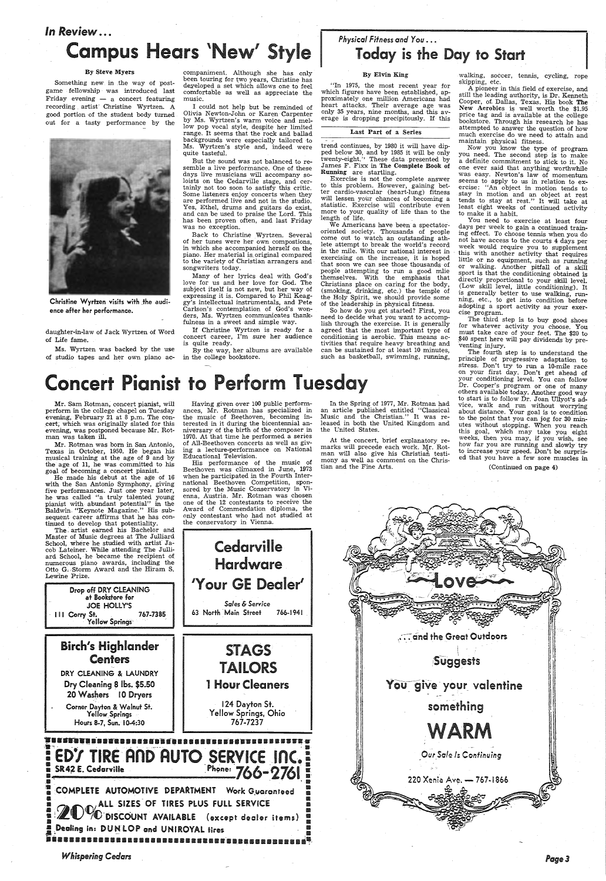#### *In Review ...*

**Campus Hears 'New' Style** 

#### By Steve Myers

Something new in the way of postgame fellowship was introduced last Friday evening  $-$  a concert featuring recording artist' Christine Wyrtzen. A good portion of the student body turned out for a tasty performance by the



Christine Wyrtzen visits with the audience after her performance.

daughter-in-law of Jack Wyrtzen of Word of Life fame.

Ms. Wyrtzen was backed by the use of studio tapes and her own piano ac-

companiment. Although she has only been touring for two years, Christine has deyeloped a set which allows one to feel comfortable as well as appreciate the music.

I could not help but be reminded of Olivia Newton-John or Karen Carpenter by Ms. Wyrtzen's warm voice and mel range. It seems that the rock and ballad backgrounds were especially tailored to Ms. Wyrtzen's style and, indeed were quite tasteful.

### *Physical Fitness and You* ... Today is the Day to Start

But the sound was not balanced to re semble a live performance. One of these days live musicians will accompany so loists on the Cedarville stage, and cer tainly not too soon to satisfy this critic. Some listeners enjoy concerts when they are performed live and not in the studio. Yes, Ethel, drums and guitars do exist, and can be used to praise the Lord. This has been proven often, and last Friday was no exception.

Back to Christine Wyrtzen. Several of her tunes were her own compostions, in which she accompanied herself on the piano. Her material is.original compared to the variety of Christian arrangers and songwriters today.

Many of her lyrics deal with God's love for us and her love for God. The subject itself *is* not new, but her way of expressing it *is.* Compared to Phil Keag gy's intellectual instrumentals, and Pete Carlson's contemplation of God's won ders, Ms. Wyrtzen communicates thank fulness in a sweet and simple way.

If Christine Wyrtzen is ready for a concert career, I'm sure her audience is quite ready.

By the way, her albums are available in the college bookstore.

#### By Elvin King

"In 1975, the most recent year for which figures have been established, approximately one million Americans had heart attacks. Their average age was only 35 years, nine months, and this average is dropping precipitously. If this

> You need to exercise at least four days per week to gain a continued training effect: To choose tennis when you do not have access to the courts 4 days per week would require you to supplement this with another activity that requires little or no equipment, such as running or walking. Another pitfall of a skill sport is that the conditioning obtained is directly proportional to your skill level.<br>(Low skill level, little conditioning). It is generally better to use walking, runmng, etc., to get into condition before adopting a sport activity as your exer-<br>cise program.

#### Last Part of a Series

trend continues, by 1980 it will have dipped below 30, and by 1985 it will be only twenty-eight.'' These data presented by James F. Fixx in The Complete Book of Running are startling.

Exercise is not tbe complete answer to this problem. However, gaining better cardio-vascular (heart-lung) fitness will lessen your chances of becoming a statistic. Exercise will contribute even more to your quality of life than to the length of life.

We Americans have been a spectatororiented society. Thousands of people come out to watch an outstanding athlete attempt to break the world's record in the mile. With our national interest in exercising on the increase, it *is* hoped that soon we can see those thousands· of people attempting to run <sup>a</sup>good mlie themselves. With the emphasis that Christians place on caring for the body, (smoking, drinking, etc.) the temple of the Holy Spirit, we should provide some of the leadership in physical fitness.

So how do you get started? First, you need to decide what you want to accomplish through the exercise. It is generally agreed that the most important type of conditioning is aerobic. This means activities that require heavy breathing and can be sustained for at least 10 minutes, such as basketball, swimming, running, walking, soccer, tennis, cycling, rope skipping, etc.

A pioneer in this field of exercise, and still the leading authority, is Dr. Kenneth Cooper, of. Dallas, Texas. His book The New Aerobics is well worth the \$1.95 price tag and is available at the college bookstore. Through his research he has attempted to answer the question of how much exercise do we need to attain and maintain physical fitness.

Now you know the type of program you need. The second step is to make a definite commitment to stick to *it.* No one ever said that anything worthwhile was easy. Newton's law of momentum seems to apply to us in relation to exercise: "An object in motion tends to stay in motion and an object at rest tends to stay at rest." It will take at least eight weeks of continued activity to make it a habit.

At the concert, brief explanatory remarks will precede each work. Mr. Rotman will also give his Christian testi-

The third step is to buy good shoes for whatever activity you choose. You must take care of your feet. The \$20 to \_\$40 spent here will pay dividends by pre- venting injury.

## Concert Pianist to Perform Tuesday

The fourth step *is* to understand the principle of progressive adaptation to stress. Don't try to run a 10-mile race on your first day. Don't get ahead of your conditioning level. You can follow Dr. Cooper's program or one of many others available today. Another good way to start is to follow Dr. Joan Ullyot's advice, walk and run without worrying about distance. Your goal is to condition to the point that you can jog for 30 minutes without stopping. When you reach this goal, which may take you eight weeks, then you may, if you wish, see how far you are running and slowly try to increase your speed. Don't be surprised that you have a few sore muscles in

 $(Continued on page 4)$ 

Mr. Sam Rotman, concert pianist, will perform in the college chapel on Tuesday evening, February 21 at 8 p.m. The concert; which was originally slated for this evening, was postponed because Mr. Rotman was taken ill.

Mr. Rotman was born in San Antonio, Texas in October, 1950. He began his musical training at the age of 9 and by the age of 11, he was committed to his goal of becoming a concert pianist.

He made his debut at the age of 16 with the San Antonio Symphony, giving five performances. Just one year later, he was called "a truly talented young pianist with abundant potential" in the Baldwin. "Keynote Magazine." His sub-

Drop off DRY CLEANING at Bookstore for JOE HOLLY'S 111 Corry St. 767-7385 Ye11ow Springs-

Having given over 100 public performances, Mr. Rotman has specialized in the music of Beethoven, becoming interested in it during the bicentennial anniversary of the birth of the composer in 1970. At that time he performed a series of All-Beethoven concerts as well as giving a lecture-performance on National Educational Television.



His performance of the music of Beethoven was climaxed in June, 1973 when he participated in the Fourth International Beethoven Competition, sponsored by the Music Conservatory in Vienna, Austria. Mr. Rotman was chosen one of the 12 contestants to receive the Award of Commendation diploma, the



In the Spring of 1977, Mr. Rotman had an article published entitled "Classical Music and the Christian." It was released in both the United Kingdom and

the United States.

![](_page_3_Picture_40.jpeg)